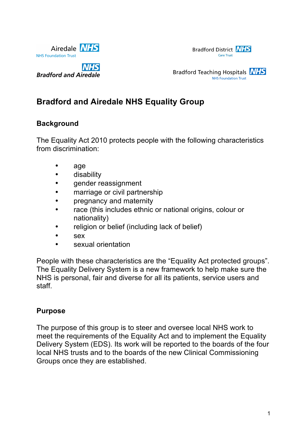



**NHS Bradford and Airedale** 



# **Bradford and Airedale NHS Equality Group**

### **Background**

The Equality Act 2010 protects people with the following characteristics from discrimination:

- age
- disability
- gender reassignment
- marriage or civil partnership
- pregnancy and maternity
- race (this includes ethnic or national origins, colour or nationality)
- religion or belief (including lack of belief)
- sex
- sexual orientation

People with these characteristics are the "Equality Act protected groups". The Equality Delivery System is a new framework to help make sure the NHS is personal, fair and diverse for all its patients, service users and staff.

#### **Purpose**

The purpose of this group is to steer and oversee local NHS work to meet the requirements of the Equality Act and to implement the Equality Delivery System (EDS). Its work will be reported to the boards of the four local NHS trusts and to the boards of the new Clinical Commissioning Groups once they are established.